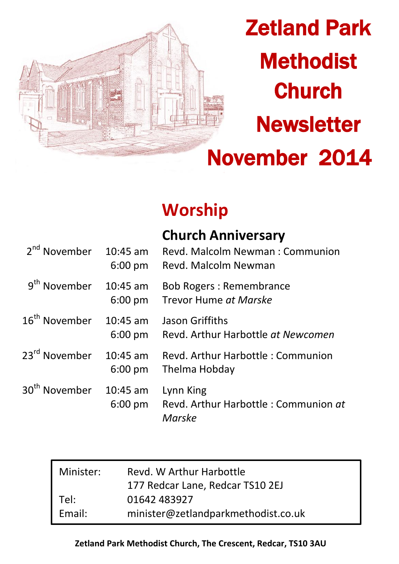

# Zetland Park **Methodist Church Newsletter** November 2014

## **Worship**

| 2 <sup>nd</sup> November  | 10:45 am<br>$6:00$ pm   | <b>Church Anniversary</b><br>Revd. Malcolm Newman: Communion<br>Revd. Malcolm Newman |
|---------------------------|-------------------------|--------------------------------------------------------------------------------------|
| 9 <sup>th</sup> November  | $10:45$ am<br>$6:00$ pm | <b>Bob Rogers: Remembrance</b><br>Trevor Hume at Marske                              |
| 16 <sup>th</sup> November | $10:45$ am<br>$6:00$ pm | Jason Griffiths<br>Revd. Arthur Harbottle at Newcomen                                |
| 23 <sup>rd</sup> November | $10:45$ am<br>$6:00$ pm | Revd. Arthur Harbottle: Communion<br>Thelma Hobday                                   |
| 30 <sup>th</sup> November | $10:45$ am<br>$6:00$ pm | Lynn King<br>Revd. Arthur Harbottle: Communion at<br>Marske                          |

| Minister: | Revd. W Arthur Harbottle<br>177 Redcar Lane, Redcar TS10 2EJ |  |
|-----------|--------------------------------------------------------------|--|
| Tel:      | 01642 483927                                                 |  |
| Email:    | minister@zetlandparkmethodist.co.uk                          |  |

## **Zetland Park Methodist Church, The Crescent, Redcar, TS10 3AU**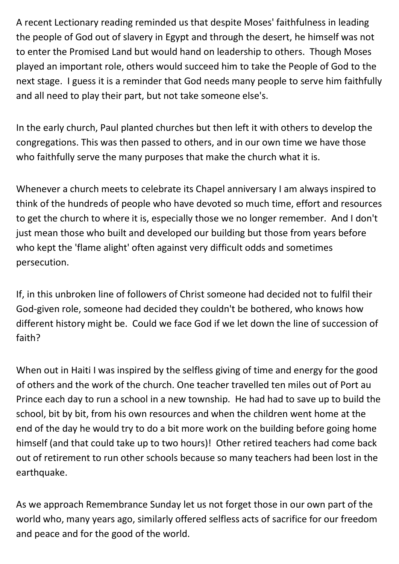A recent Lectionary reading reminded us that despite Moses' faithfulness in leading the people of God out of slavery in Egypt and through the desert, he himself was not to enter the Promised Land but would hand on leadership to others. Though Moses played an important role, others would succeed him to take the People of God to the next stage. I guess it is a reminder that God needs many people to serve him faithfully and all need to play their part, but not take someone else's.

In the early church, Paul planted churches but then left it with others to develop the congregations. This was then passed to others, and in our own time we have those who faithfully serve the many purposes that make the church what it is.

Whenever a church meets to celebrate its Chapel anniversary I am always inspired to think of the hundreds of people who have devoted so much time, effort and resources to get the church to where it is, especially those we no longer remember. And I don't just mean those who built and developed our building but those from years before who kept the 'flame alight' often against very difficult odds and sometimes persecution.

If, in this unbroken line of followers of Christ someone had decided not to fulfil their God-given role, someone had decided they couldn't be bothered, who knows how different history might be. Could we face God if we let down the line of succession of faith?

When out in Haiti I was inspired by the selfless giving of time and energy for the good of others and the work of the church. One teacher travelled ten miles out of Port au Prince each day to run a school in a new township. He had had to save up to build the school, bit by bit, from his own resources and when the children went home at the end of the day he would try to do a bit more work on the building before going home himself (and that could take up to two hours)! Other retired teachers had come back out of retirement to run other schools because so many teachers had been lost in the earthquake.

As we approach Remembrance Sunday let us not forget those in our own part of the world who, many years ago, similarly offered selfless acts of sacrifice for our freedom and peace and for the good of the world.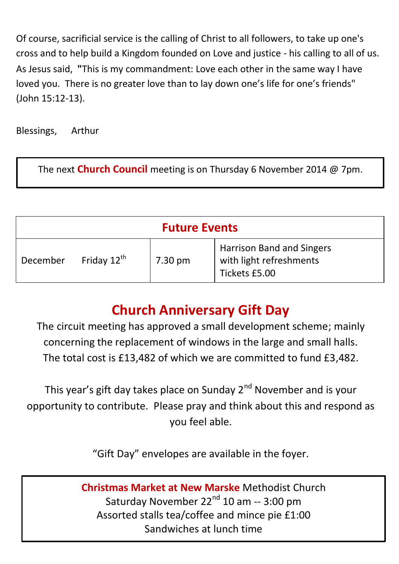Of course, sacrificial service is the calling of Christ to all followers, to take up one's cross and to help build a Kingdom founded on Love and justice - his calling to all of us. As Jesus said, **"**This is my commandment: Love each other in the same way I have loved you. There is no greater love than to lay down one's life for one's friends" (John 15:12-13).

Blessings, Arthur

The next **Church Council** meeting is on Thursday 6 November 2014 @ 7pm.

| <b>Future Events</b> |                         |         |                                                                       |  |  |
|----------------------|-------------------------|---------|-----------------------------------------------------------------------|--|--|
| December             | Friday $12^{\text{th}}$ | 7.30 pm | Harrison Band and Singers<br>with light refreshments<br>Tickets £5.00 |  |  |

## **Church Anniversary Gift Day**

The circuit meeting has approved a small development scheme; mainly concerning the replacement of windows in the large and small halls. The total cost is £13,482 of which we are committed to fund £3,482.

This year's gift day takes place on Sunday 2<sup>nd</sup> November and is vour opportunity to contribute. Please pray and think about this and respond as you feel able.

"Gift Day" envelopes are available in the foyer.

**Christmas Market at New Marske** Methodist Church Saturday November 22<sup>nd</sup> 10 am -- 3:00 pm Assorted stalls tea/coffee and mince pie £1:00 Sandwiches at lunch time

.